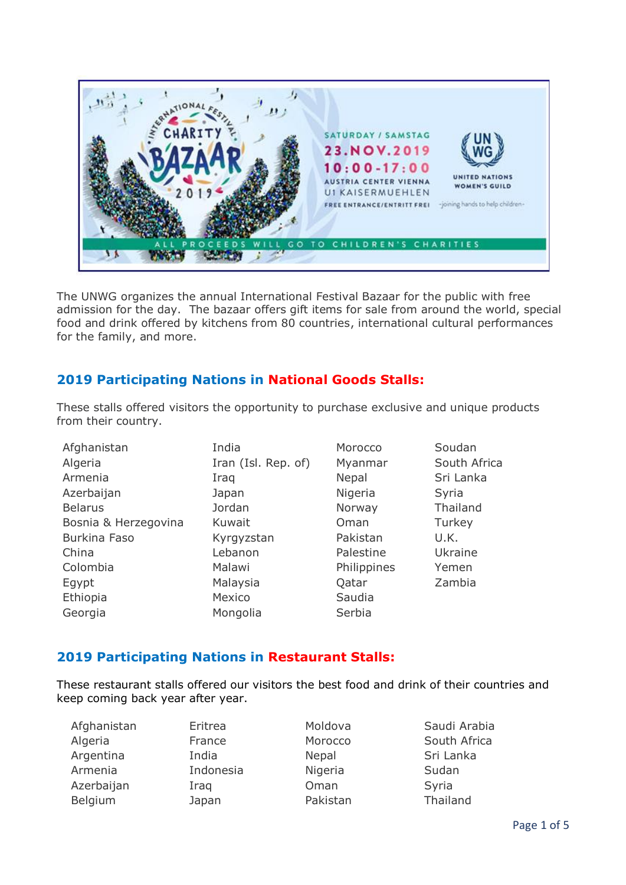

The UNWG organizes the annual International Festival Bazaar for the public with free admission for the day. The bazaar offers gift items for sale from around the world, special food and drink offered by kitchens from 80 countries, international cultural performances for the family, and more.

# **2019 Participating Nations in National Goods Stalls:**

These stalls offered visitors the opportunity to purchase exclusive and unique products from their country.

| Afghanistan          | India               | Morocco     | Soudan       |
|----------------------|---------------------|-------------|--------------|
| Algeria              | Iran (Isl. Rep. of) | Myanmar     | South Africa |
| Armenia              | Iraq                | Nepal       | Sri Lanka    |
| Azerbaijan           | Japan               | Nigeria     | Syria        |
| <b>Belarus</b>       | Jordan              | Norway      | Thailand     |
| Bosnia & Herzegovina | Kuwait              | Oman        | Turkey       |
| Burkina Faso         | Kyrgyzstan          | Pakistan    | U.K.         |
| China                | Lebanon             | Palestine   | Ukraine      |
| Colombia             | Malawi              | Philippines | Yemen        |
| Egypt                | Malaysia            | Qatar       | Zambia       |
| Ethiopia             | Mexico              | Saudia      |              |
| Georgia              | Mongolia            | Serbia      |              |

## **2019 Participating Nations in Restaurant Stalls:**

These restaurant stalls offered our visitors the best food and drink of their countries and keep coming back year after year.

| Afghanistan | Eritrea   | Moldova      | Saud   |
|-------------|-----------|--------------|--------|
| Algeria     | France    | Morocco      | Soutl  |
| Argentina   | India     | <b>Nepal</b> | Sri La |
| Armenia     | Indonesia | Nigeria      | Suda   |
| Azerbaijan  | Iraq      | Oman         | Syria  |
| Belgium     | Japan     | Pakistan     | Thail  |
|             |           |              |        |

Afghanistan Eritrea Moldova Saudi Arabia Indonesia Nigeria Sudan

France Morocco South Africa India **Nepal** Nepal Sri Lanka Japan Pakistan Thailand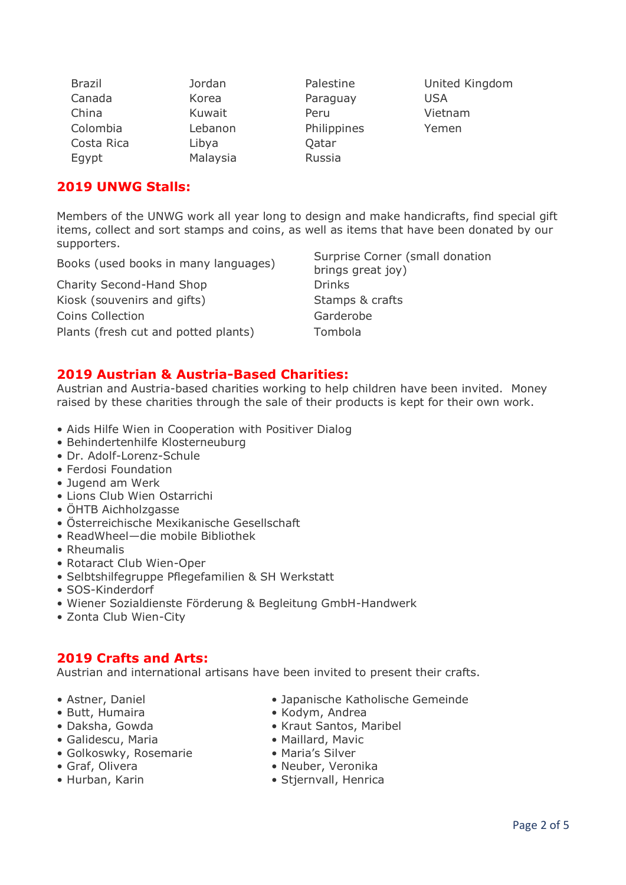| <b>Brazil</b> | Jordan   | Palestine   | United Kingdom |
|---------------|----------|-------------|----------------|
| Canada        | Korea    | Paraguay    | USA            |
| China         | Kuwait   | Peru        | Vietnam        |
| Colombia      | Lebanon  | Philippines | Yemen          |
| Costa Rica    | Libya    | Qatar       |                |
| Egypt         | Malaysia | Russia      |                |

## **2019 UNWG Stalls:**

Members of the UNWG work all year long to design and make handicrafts, find special gift items, collect and sort stamps and coins, as well as items that have been donated by our supporters.

Charity Second-Hand Shop Drinks Kiosk (souvenirs and gifts) Stamps & crafts Coins Collection **Garderobe** Plants (fresh cut and potted plants) Tombola

Books (used books in many languages) Surprise Corner (small donation brings great joy)

#### **2019 Austrian & Austria-Based Charities:**

Austrian and Austria-based charities working to help children have been invited. Money raised by these charities through the sale of their products is kept for their own work.

- Aids Hilfe Wien in Cooperation with Positiver Dialog
- Behindertenhilfe Klosterneuburg
- Dr. Adolf-Lorenz-Schule
- Ferdosi Foundation
- Jugend am Werk
- Lions Club Wien Ostarrichi
- ÖHTB Aichholzgasse
- Österreichische Mexikanische Gesellschaft
- ReadWheel—die mobile Bibliothek
- Rheumalis
- Rotaract Club Wien-Oper
- Selbtshilfegruppe Pflegefamilien & SH Werkstatt
- SOS-Kinderdorf
- Wiener Sozialdienste Förderung & Begleitung GmbH-Handwerk
- Zonta Club Wien-City

### **2019 Crafts and Arts:**

Austrian and international artisans have been invited to present their crafts.

- 
- 
- 
- Galidescu, Maria Maillard, Mavic
- Golkoswky, Rosemarie Maria's Silver
- 
- 
- Astner, Daniel Japanische Katholische Gemeinde
- Butt, Humaira • Kodym, Andrea
- Daksha, Gowda Kraut Santos, Maribel
	-
	-
- Graf, Olivera Neuber, Veronika
- Hurban, Karin Stjernvall, Henrica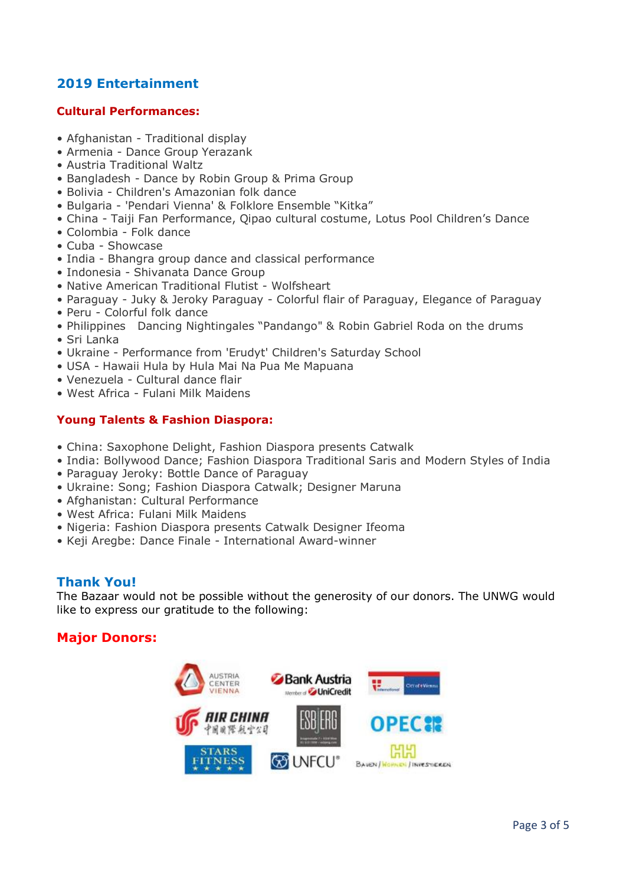# **2019 Entertainment**

#### **Cultural Performances:**

- Afghanistan Traditional display
- Armenia Dance Group Yerazank
- Austria Traditional Waltz
- Bangladesh Dance by Robin Group & Prima Group
- Bolivia Children's Amazonian folk dance
- Bulgaria 'Pendari Vienna' & Folklore Ensemble "Kitka"
- China Taiji Fan Performance, Qipao cultural costume, Lotus Pool Children's Dance
- Colombia Folk dance
- Cuba Showcase
- India Bhangra group dance and classical performance
- Indonesia Shivanata Dance Group
- Native American Traditional Flutist Wolfsheart
- Paraguay Juky & Jeroky Paraguay Colorful flair of Paraguay, Elegance of Paraguay
- Peru Colorful folk dance
- Philippines Dancing Nightingales "Pandango" & Robin Gabriel Roda on the drums
- Sri Lanka
- Ukraine Performance from 'Erudyt' Children's Saturday School
- USA Hawaii Hula by Hula Mai Na Pua Me Mapuana
- Venezuela Cultural dance flair
- West Africa Fulani Milk Maidens

#### **Young Talents & Fashion Diaspora:**

- China: Saxophone Delight, Fashion Diaspora presents Catwalk
- India: Bollywood Dance; Fashion Diaspora Traditional Saris and Modern Styles of India
- Paraguay Jeroky: Bottle Dance of Paraguay
- Ukraine: Song; Fashion Diaspora Catwalk; Designer Maruna
- Afghanistan: Cultural Performance
- West Africa: Fulani Milk Maidens
- Nigeria: Fashion Diaspora presents Catwalk Designer Ifeoma
- Keji Aregbe: Dance Finale International Award-winner

### **Thank You!**

The Bazaar would not be possible without the generosity of our donors. The UNWG would like to express our gratitude to the following:

### **Major Donors:**

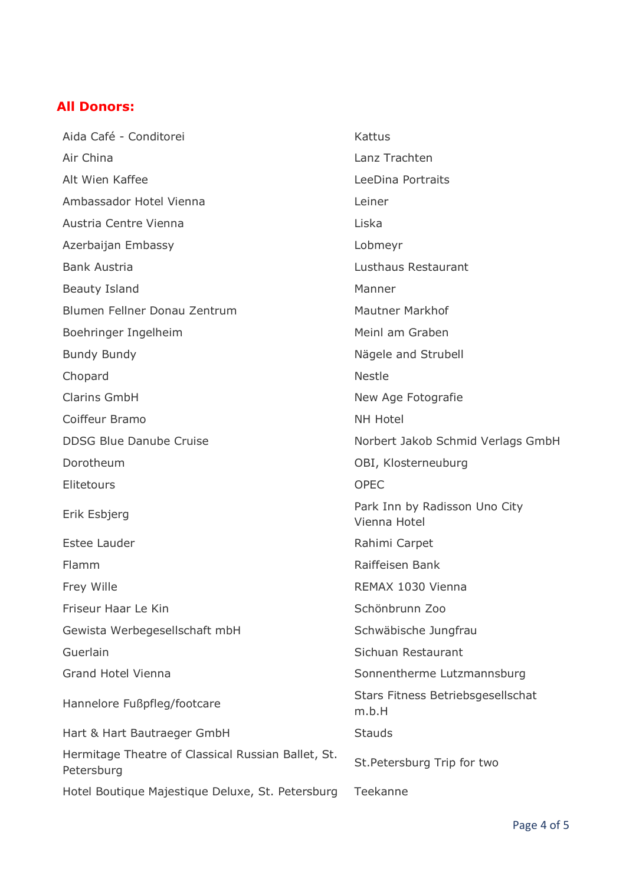# **All Donors:**

Aida Café - Conditorei Kattus Air China Lanz Trachten Alt Wien Kaffee **LeeDina Portraits** Ambassador Hotel Vienna Leiner Austria Centre Vienna Liska Azerbaijan Embassy Lobmeyr Bank Austria Lusthaus Restaurant Beauty Island Manner Blumen Fellner Donau Zentrum Mautner Markhof Boehringer Ingelheim Meinl am Graben Bundy Bundy **Nägele** and Strubell Chopard Nestle Clarins GmbH New Age Fotografie Coiffeur Bramo NH Hotel DDSG Blue Danube Cruise Norbert Jakob Schmid Verlags GmbH Dorotheum OBI, Klosterneuburg Elitetours OPEC Erik Esbjerg Park Inn by Radisson Uno City Vienna Hotel Estee Lauder **Rahimi Carpet** Flamm Raiffeisen Bank Frey Wille **REMAX 1030 Vienna** Friseur Haar Le Kin Schönbrunn Zoo Gewista Werbegesellschaft mbH Schwäbische Jungfrau Guerlain Sichuan Restaurant Grand Hotel Vienna Sonnentherme Lutzmannsburg Hannelore Fußpfleg/footcare Stars Fitness Betriebsgesellschat m.b.H Hart & Hart Bautraeger GmbH Stauds Hermitage Theatre of Classical Russian Ballet, St. Petersburg Trip for two<br>Petersburg Trip for two Hotel Boutique Majestique Deluxe, St. Petersburg Teekanne